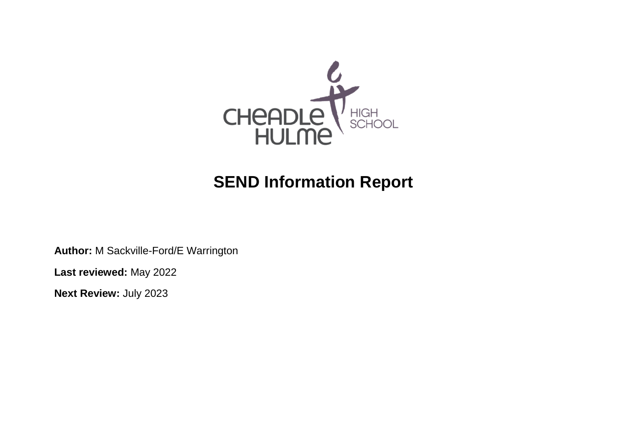

# **SEND Information Report**

**Author:** M Sackville-Ford/E Warrington

**Last reviewed:** May 2022

**Next Review:** July 2023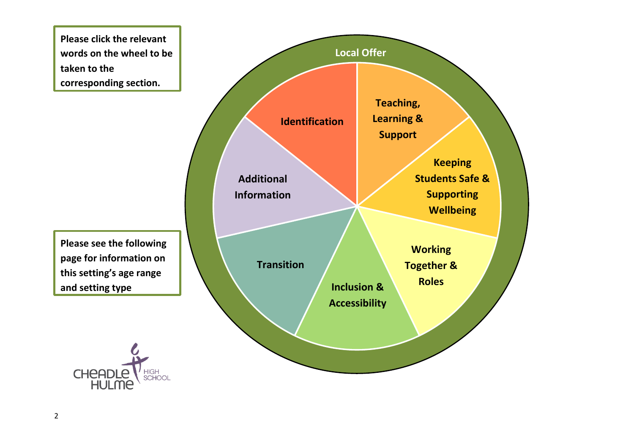**Please click the relevant words on the wheel to be taken to the corresponding section.** 

**Please see the following page for information on this setting's age range and setting type**



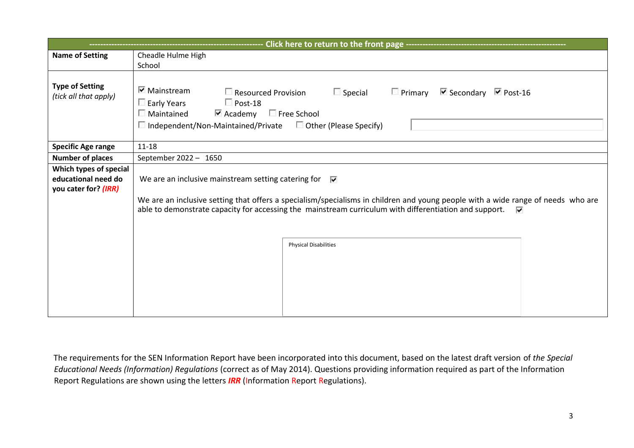|                                                                       | - Click here to return to the front page --------------                                                                                                                                                                                                                                                               |
|-----------------------------------------------------------------------|-----------------------------------------------------------------------------------------------------------------------------------------------------------------------------------------------------------------------------------------------------------------------------------------------------------------------|
| <b>Name of Setting</b>                                                | Cheadle Hulme High                                                                                                                                                                                                                                                                                                    |
|                                                                       | School                                                                                                                                                                                                                                                                                                                |
| <b>Type of Setting</b><br>(tick all that apply)                       | $\triangledown$ Mainstream<br>Resourced Provision<br>$\Box$ Special<br>$\Box$ Primary $\Box$ Secondary $\Box$ Post-16<br>$\Box$ Post-18<br>El Early Years<br>$\blacktriangleright$ Academy $\blacksquare$ Free School<br>$\Box$ Maintained<br>$\Box$ Independent/Non-Maintained/Private $\Box$ Other (Please Specify) |
| <b>Specific Age range</b>                                             | $11 - 18$                                                                                                                                                                                                                                                                                                             |
| <b>Number of places</b>                                               | September 2022 - 1650                                                                                                                                                                                                                                                                                                 |
| Which types of special<br>educational need do<br>you cater for? (IRR) | We are an inclusive mainstream setting catering for $\overline{\triangledown}$                                                                                                                                                                                                                                        |
|                                                                       | We are an inclusive setting that offers a specialism/specialisms in children and young people with a wide range of needs who are<br>able to demonstrate capacity for accessing the mainstream curriculum with differentiation and support.<br>⊽                                                                       |
|                                                                       |                                                                                                                                                                                                                                                                                                                       |
|                                                                       | <b>Physical Disabilities</b>                                                                                                                                                                                                                                                                                          |
|                                                                       |                                                                                                                                                                                                                                                                                                                       |
|                                                                       |                                                                                                                                                                                                                                                                                                                       |
|                                                                       |                                                                                                                                                                                                                                                                                                                       |
|                                                                       |                                                                                                                                                                                                                                                                                                                       |
|                                                                       |                                                                                                                                                                                                                                                                                                                       |

The requirements for the SEN Information Report have been incorporated into this document, based on the latest draft version of *the Special Educational Needs (Information) Regulations* (correct as of May 2014). Questions providing information required as part of the Information Report Regulations are shown using the letters *IRR* (Information Report Regulations).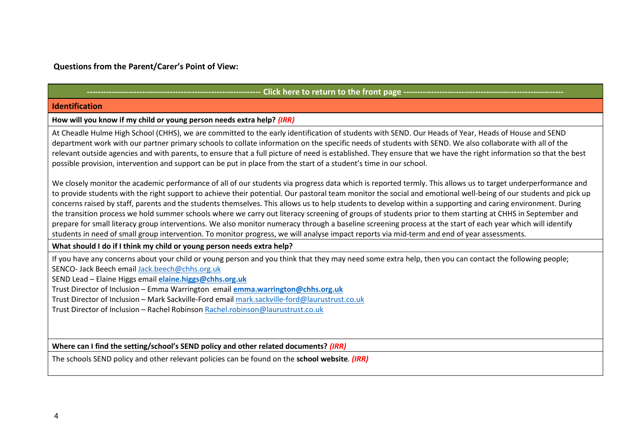# **Questions from the Parent/Carer's Point of View:**

| <b>Identification</b>                                                                                                                                                                                                                                                                                                                                                                                                                                                                                                                                                                                                                                                                                                                                                                                                                                                                                                                                                       |
|-----------------------------------------------------------------------------------------------------------------------------------------------------------------------------------------------------------------------------------------------------------------------------------------------------------------------------------------------------------------------------------------------------------------------------------------------------------------------------------------------------------------------------------------------------------------------------------------------------------------------------------------------------------------------------------------------------------------------------------------------------------------------------------------------------------------------------------------------------------------------------------------------------------------------------------------------------------------------------|
| How will you know if my child or young person needs extra help? (IRR)                                                                                                                                                                                                                                                                                                                                                                                                                                                                                                                                                                                                                                                                                                                                                                                                                                                                                                       |
| At Cheadle Hulme High School (CHHS), we are committed to the early identification of students with SEND. Our Heads of Year, Heads of House and SEND<br>department work with our partner primary schools to collate information on the specific needs of students with SEND. We also collaborate with all of the<br>relevant outside agencies and with parents, to ensure that a full picture of need is established. They ensure that we have the right information so that the best<br>possible provision, intervention and support can be put in place from the start of a student's time in our school.                                                                                                                                                                                                                                                                                                                                                                  |
| We closely monitor the academic performance of all of our students via progress data which is reported termly. This allows us to target underperformance and<br>to provide students with the right support to achieve their potential. Our pastoral team monitor the social and emotional well-being of our students and pick up<br>concerns raised by staff, parents and the students themselves. This allows us to help students to develop within a supporting and caring environment. During<br>the transition process we hold summer schools where we carry out literacy screening of groups of students prior to them starting at CHHS in September and<br>prepare for small literacy group interventions. We also monitor numeracy through a baseline screening process at the start of each year which will identify<br>students in need of small group intervention. To monitor progress, we will analyse impact reports via mid-term and end of year assessments. |
| What should I do if I think my child or young person needs extra help?                                                                                                                                                                                                                                                                                                                                                                                                                                                                                                                                                                                                                                                                                                                                                                                                                                                                                                      |
| If you have any concerns about your child or young person and you think that they may need some extra help, then you can contact the following people;<br>SENCO- Jack Beech email Jack.beech@chhs.org.uk<br>SEND Lead - Elaine Higgs email elaine.higgs@chhs.org.uk<br>Trust Director of Inclusion - Emma Warrington email emma.warrington@chhs.org.uk<br>Trust Director of Inclusion - Mark Sackville-Ford email mark.sackville-ford@laurustrust.co.uk<br>Trust Director of Inclusion - Rachel Robinson Rachel.robinson@laurustrust.co.uk                                                                                                                                                                                                                                                                                                                                                                                                                                  |
| Where can I find the setting/school's SEND policy and other related documents? (IRR)                                                                                                                                                                                                                                                                                                                                                                                                                                                                                                                                                                                                                                                                                                                                                                                                                                                                                        |
| The schools SEND policy and other relevant policies can be found on the school website. (IRR)                                                                                                                                                                                                                                                                                                                                                                                                                                                                                                                                                                                                                                                                                                                                                                                                                                                                               |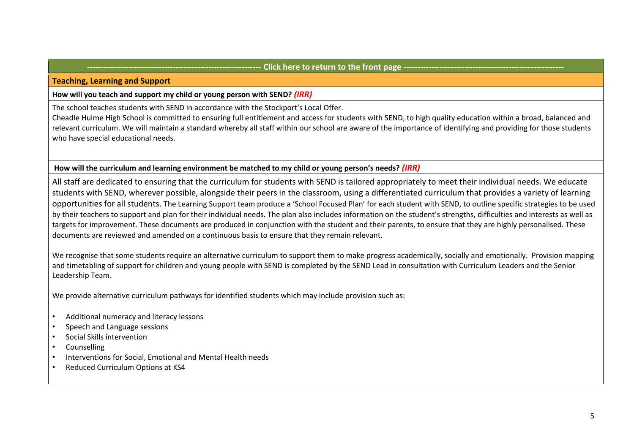# **Click here to return to the front page ---**

#### **Teaching, Learning and Support**

#### **How will you teach and support my child or young person with SEND?** *(IRR)*

The school teaches students with SEND in accordance with the Stockport's Local Offer.

Cheadle Hulme High School is committed to ensuring full entitlement and access for students with SEND, to high quality education within a broad, balanced and relevant curriculum. We will maintain a standard whereby all staff within our school are aware of the importance of identifying and providing for those students who have special educational needs.

# **How will the curriculum and learning environment be matched to my child or young person's needs?** *(IRR)*

All staff are dedicated to ensuring that the curriculum for students with SEND is tailored appropriately to meet their individual needs. We educate students with SEND, wherever possible, alongside their peers in the classroom, using a differentiated curriculum that provides a variety of learning opportunities for all students. The Learning Support team produce a 'School Focused Plan' for each student with SEND, to outline specific strategies to be used by their teachers to support and plan for their individual needs. The plan also includes information on the student's strengths, difficulties and interests as well as targets for improvement. These documents are produced in conjunction with the student and their parents, to ensure that they are highly personalised. These documents are reviewed and amended on a continuous basis to ensure that they remain relevant.

We recognise that some students require an alternative curriculum to support them to make progress academically, socially and emotionally. Provision mapping and timetabling of support for children and young people with SEND is completed by the SEND Lead in consultation with Curriculum Leaders and the Senior Leadership Team.

We provide alternative curriculum pathways for identified students which may include provision such as:

- Additional numeracy and literacy lessons
- Speech and Language sessions
- Social Skills intervention
- **Counselling**
- Interventions for Social, Emotional and Mental Health needs
- Reduced Curriculum Options at KS4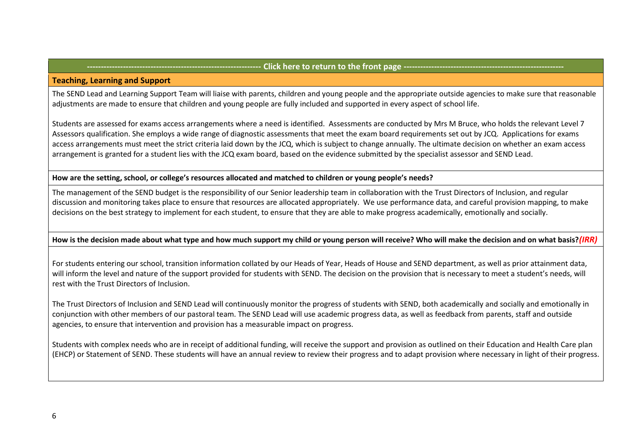# Click here to return to the front page -

#### **Teaching, Learning and Support**

The SEND Lead and Learning Support Team will liaise with parents, children and young people and the appropriate outside agencies to make sure that reasonable adjustments are made to ensure that children and young people are fully included and supported in every aspect of school life.

Students are assessed for exams access arrangements where a need is identified. Assessments are conducted by Mrs M Bruce, who holds the relevant Level 7 Assessors qualification. She employs a wide range of diagnostic assessments that meet the exam board requirements set out by JCQ. Applications for exams access arrangements must meet the strict criteria laid down by the JCQ, which is subject to change annually. The ultimate decision on whether an exam access arrangement is granted for a student lies with the JCQ exam board, based on the evidence submitted by the specialist assessor and SEND Lead.

# **How are the setting, school, or college's resources allocated and matched to children or young people's needs?**

The management of the SEND budget is the responsibility of our Senior leadership team in collaboration with the Trust Directors of Inclusion, and regular discussion and monitoring takes place to ensure that resources are allocated appropriately. We use performance data, and careful provision mapping, to make decisions on the best strategy to implement for each student, to ensure that they are able to make progress academically, emotionally and socially.

# **How is the decision made about what type and how much support my child or young person will receive? Who will make the decision and on what basis?***(IRR)*

For students entering our school, transition information collated by our Heads of Year, Heads of House and SEND department, as well as prior attainment data, will inform the level and nature of the support provided for students with SEND. The decision on the provision that is necessary to meet a student's needs, will rest with the Trust Directors of Inclusion.

The Trust Directors of Inclusion and SEND Lead will continuously monitor the progress of students with SEND, both academically and socially and emotionally in conjunction with other members of our pastoral team. The SEND Lead will use academic progress data, as well as feedback from parents, staff and outside agencies, to ensure that intervention and provision has a measurable impact on progress.

Students with complex needs who are in receipt of additional funding, will receive the support and provision as outlined on their Education and Health Care plan (EHCP) or Statement of SEND. These students will have an annual review to review their progress and to adapt provision where necessary in light of their progress.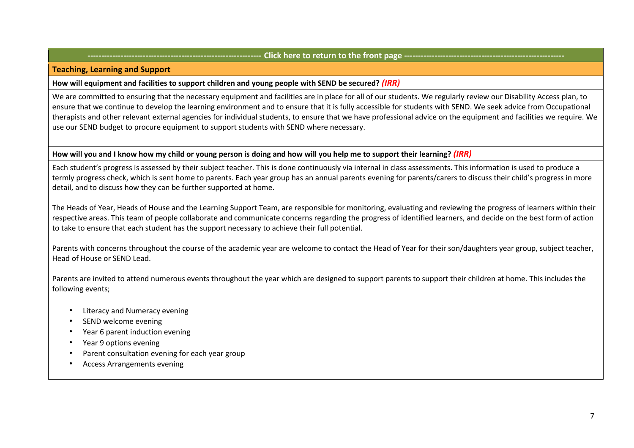## Click here to return to the front page ------

#### **Teaching, Learning and Support**

#### **How will equipment and facilities to support children and young people with SEND be secured?** *(IRR)*

We are committed to ensuring that the necessary equipment and facilities are in place for all of our students. We regularly review our Disability Access plan, to ensure that we continue to develop the learning environment and to ensure that it is fully accessible for students with SEND. We seek advice from Occupational therapists and other relevant external agencies for individual students, to ensure that we have professional advice on the equipment and facilities we require. We use our SEND budget to procure equipment to support students with SEND where necessary.

#### **How will you and I know how my child or young person is doing and how will you help me to support their learning?** *(IRR)*

Each student's progress is assessed by their subject teacher. This is done continuously via internal in class assessments. This information is used to produce a termly progress check, which is sent home to parents. Each year group has an annual parents evening for parents/carers to discuss their child's progress in more detail, and to discuss how they can be further supported at home.

The Heads of Year, Heads of House and the Learning Support Team, are responsible for monitoring, evaluating and reviewing the progress of learners within their respective areas. This team of people collaborate and communicate concerns regarding the progress of identified learners, and decide on the best form of action to take to ensure that each student has the support necessary to achieve their full potential.

Parents with concerns throughout the course of the academic year are welcome to contact the Head of Year for their son/daughters year group, subject teacher, Head of House or SEND Lead.

Parents are invited to attend numerous events throughout the year which are designed to support parents to support their children at home. This includes the following events;

- **Literacy and Numeracy evening**
- SEND welcome evening
- Year 6 parent induction evening
- Year 9 options evening
- Parent consultation evening for each year group
- Access Arrangements evening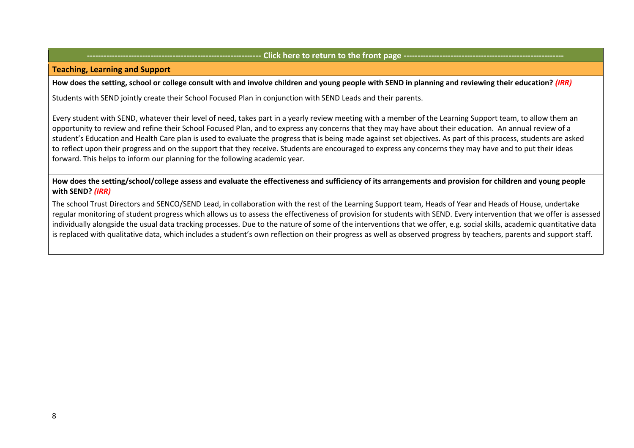## Click here to return to the front page ---

**Teaching, Learning and Support** 

**How does the setting, school or college consult with and involve children and young people with SEND in planning and reviewing their education?** *(IRR)*

Students with SEND jointly create their School Focused Plan in conjunction with SEND Leads and their parents.

Every student with SEND, whatever their level of need, takes part in a yearly review meeting with a member of the Learning Support team, to allow them an opportunity to review and refine their School Focused Plan, and to express any concerns that they may have about their education. An annual review of a student's Education and Health Care plan is used to evaluate the progress that is being made against set objectives. As part of this process, students are asked to reflect upon their progress and on the support that they receive. Students are encouraged to express any concerns they may have and to put their ideas forward. This helps to inform our planning for the following academic year.

**How does the setting/school/college assess and evaluate the effectiveness and sufficiency of its arrangements and provision for children and young people with SEND?** *(IRR)*

The school Trust Directors and SENCO/SEND Lead, in collaboration with the rest of the Learning Support team, Heads of Year and Heads of House, undertake regular monitoring of student progress which allows us to assess the effectiveness of provision for students with SEND. Every intervention that we offer is assessed individually alongside the usual data tracking processes. Due to the nature of some of the interventions that we offer, e.g. social skills, academic quantitative data is replaced with qualitative data, which includes a student's own reflection on their progress as well as observed progress by teachers, parents and support staff.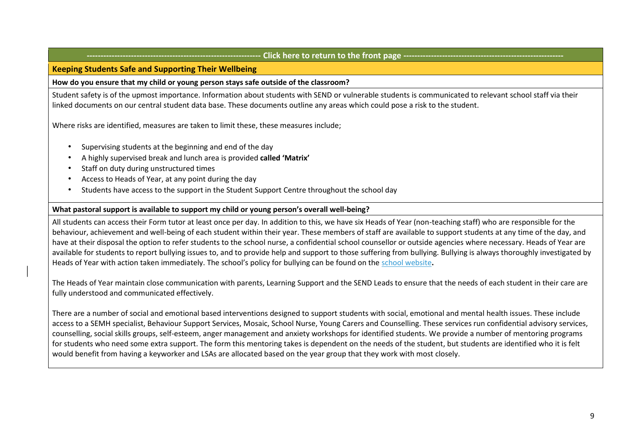#### **--------------------------------------------------------------- Click here to return to the front page ----------------------------------------------------------**

# **Keeping Students Safe and Supporting Their Wellbeing**

**How do you ensure that my child or young person stays safe outside of the classroom?** 

Student safety is of the upmost importance. Information about students with SEND or vulnerable students is communicated to relevant school staff via their linked documents on our central student data base. These documents outline any areas which could pose a risk to the student.

Where risks are identified, measures are taken to limit these, these measures include;

- Supervising students at the beginning and end of the day
- A highly supervised break and lunch area is provided **called 'Matrix'**
- Staff on duty during unstructured times
- Access to Heads of Year, at any point during the day
- Students have access to the support in the Student Support Centre throughout the school day

# **What pastoral support is available to support my child or young person's overall well-being?**

All students can access their Form tutor at least once per day. In addition to this, we have six Heads of Year (non-teaching staff) who are responsible for the behaviour, achievement and well-being of each student within their year. These members of staff are available to support students at any time of the day, and have at their disposal the option to refer students to the school nurse, a confidential school counsellor or outside agencies where necessary. Heads of Year are available for students to report bullying issues to, and to provide help and support to those suffering from bullying. Bullying is always thoroughly investigated by Heads of Year with action taken immediately. The school's policy for bullying can be found on the [school website](http://vle.hccs.info/index.phtml?d=165283)**[.](http://vle.hccs.info/index.phtml?d=165283)**

The Heads of Year maintain close communication with parents, Learning Support and the SEND Leads to ensure that the needs of each student in their care are fully understood and communicated effectively.

There are a number of social and emotional based interventions designed to support students with social, emotional and mental health issues. These include access to a SEMH specialist, Behaviour Support Services, Mosaic, School Nurse, Young Carers and Counselling. These services run confidential advisory services, counselling, social skills groups, self-esteem, anger management and anxiety workshops for identified students. We provide a number of mentoring programs for students who need some extra support. The form this mentoring takes is dependent on the needs of the student, but students are identified who it is felt would benefit from having a keyworker and LSAs are allocated based on the year group that they work with most closely.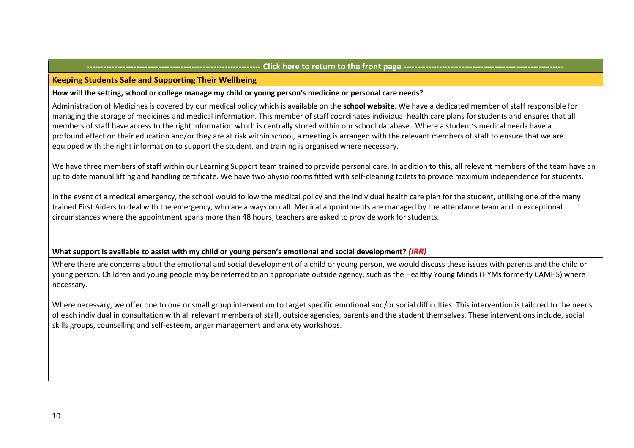# **-- Click here to return to the front page --**

#### **Keeping Students Safe and Supporting Their Wellbeing**

**How will the setting, school or college manage my child or young person's medicine or personal care needs?** 

Administration of Medicines is covered by our medical policy which is available on the **[school website](https://www.chhs.org.uk/)**. We have a dedicated member of staff responsible for managing the storage of medicines and medical information. This member of staff coordinates individual health care plans for students and ensures that all members of staff have access to the right information which is centrally stored within our school database. Where a student's medical needs have a profound effect on their education and/or they are at risk within school, a meeting is arranged with the relevant members of staff to ensure that we are equipped with the right information to support the student, and training is organised where necessary.

We have three members of staff within our Learning Support team trained to provide personal care. In addition to this, all relevant members of the team have an up to date manual lifting and handling certificate. We have two physio rooms fitted with self-cleaning toilets to provide maximum independence for students.

In the event of a medical emergency, the school would follow the medical policy and the individual health care plan for the student, utilising one of the many trained First Aiders to deal with the emergency, who are always on call. Medical appointments are managed by the attendance team and in exceptional circumstances where the appointment spans more than 48 hours, teachers are asked to provide work for students.

**What support is available to assist with my child or young person's emotional and social development?** *(IRR)*

Where there are concerns about the emotional and social development of a child or young person, we would discuss these issues with parents and the child or young person. Children and young people may be referred to an appropriate outside agency, such as the Healthy Young Minds (HYMs formerly CAMHS) where necessary.

Where necessary, we offer one to one or small group intervention to target specific emotional and/or social difficulties. This intervention is tailored to the needs of each individual in consultation with all relevant members of staff, outside agencies, parents and the student themselves. These interventions include, social skills groups, counselling and self-esteem, anger management and anxiety workshops.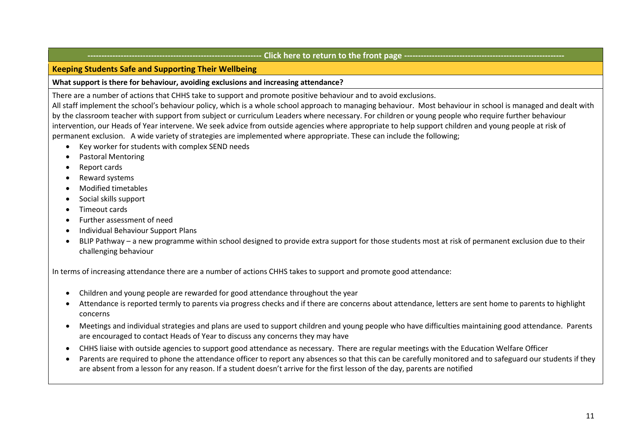# **--------------------------------------------------------------- Click here to return to the front page ----------------------------------------------------------**

# **Keeping Students Safe and Supporting Their Wellbeing**

# **What support is there for behaviour, avoiding exclusions and increasing attendance?**

There are a number of actions that CHHS take to support and promote positive behaviour and to avoid exclusions.

All staff implement the school's behaviour policy, which is a whole school approach to managing behaviour. Most behaviour in school is managed and dealt with by the classroom teacher with support from subject or curriculum Leaders where necessary. For children or young people who require further behaviour intervention, our Heads of Year intervene. We seek advice from outside agencies where appropriate to help support children and young people at risk of permanent exclusion. A wide variety of strategies are implemented where appropriate. These can include the following;

- Key worker for students with complex SEND needs
- Pastoral Mentoring
- Report cards
- Reward systems
- Modified timetables
- Social skills support
- Timeout cards
- Further assessment of need
- Individual Behaviour Support Plans
- BLIP Pathway a new programme within school designed to provide extra support for those students most at risk of permanent exclusion due to their challenging behaviour

In terms of increasing attendance there are a number of actions CHHS takes to support and promote good attendance:

- Children and young people are rewarded for good attendance throughout the year
- Attendance is reported termly to parents via progress checks and if there are concerns about attendance, letters are sent home to parents to highlight concerns
- Meetings and individual strategies and plans are used to support children and young people who have difficulties maintaining good attendance. Parents are encouraged to contact Heads of Year to discuss any concerns they may have
- CHHS liaise with outside agencies to support good attendance as necessary. There are regular meetings with the Education Welfare Officer
- Parents are required to phone the attendance officer to report any absences so that this can be carefully monitored and to safeguard our students if they are absent from a lesson for any reason. If a student doesn't arrive for the first lesson of the day, parents are notified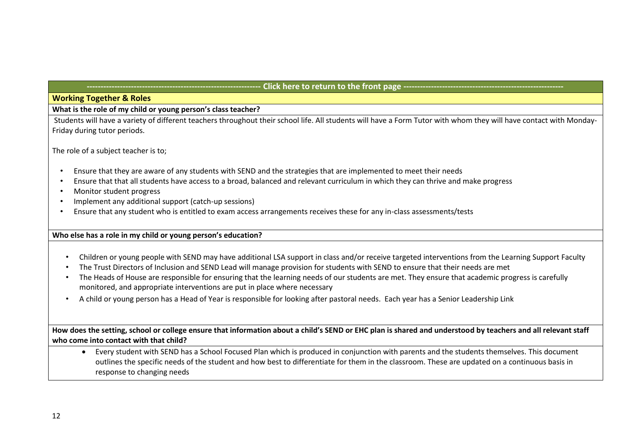# Click here to return to the front page ---

# **Working Together & Roles**

**What is the role of my child or young person's class teacher?** 

Students will have a variety of different teachers throughout their school life. All students will have a Form Tutor with whom they will have contact with Monday-Friday during tutor periods.

The role of a subject teacher is to;

- Ensure that they are aware of any students with SEND and the strategies that are implemented to meet their needs
- Ensure that that all students have access to a broad, balanced and relevant curriculum in which they can thrive and make progress
- Monitor student progress
- Implement any additional support (catch-up sessions)
- Ensure that any student who is entitled to exam access arrangements receives these for any in-class assessments/tests

# **Who else has a role in my child or young person's education?**

- Children or young people with SEND may have additional LSA support in class and/or receive targeted interventions from the Learning Support Faculty
- The Trust Directors of Inclusion and SEND Lead will manage provision for students with SEND to ensure that their needs are met
- The Heads of House are responsible for ensuring that the learning needs of our students are met. They ensure that academic progress is carefully monitored, and appropriate interventions are put in place where necessary
- A child or young person has a Head of Year is responsible for looking after pastoral needs. Each year has a Senior Leadership Link

**How does the setting, school or college ensure that information about a child's SEND or EHC plan is shared and understood by teachers and all relevant staff who come into contact with that child?** 

• Every student with SEND has a School Focused Plan which is produced in conjunction with parents and the students themselves. This document outlines the specific needs of the student and how best to differentiate for them in the classroom. These are updated on a continuous basis in response to changing needs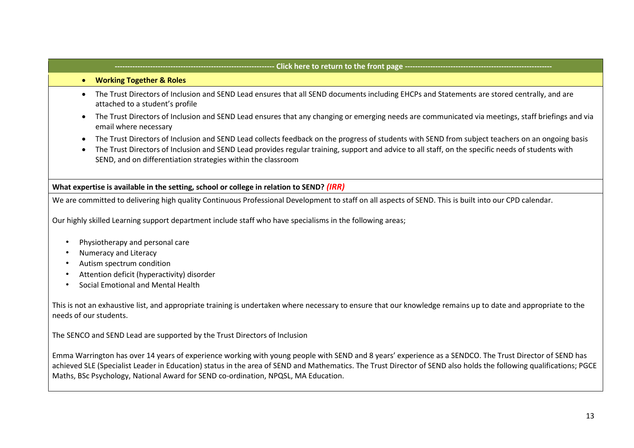# - Click here to return to the front page --• **Working Together & Roles**  • The Trust Directors of Inclusion and SEND Lead ensures that all SEND documents including EHCPs and Statements are stored centrally, and are attached to a student's profile • The Trust Directors of Inclusion and SEND Lead ensures that any changing or emerging needs are communicated via meetings, staff briefings and via email where necessary • The Trust Directors of Inclusion and SEND Lead collects feedback on the progress of students with SEND from subject teachers on an ongoing basis • The Trust Directors of Inclusion and SEND Lead provides regular training, support and advice to all staff, on the specific needs of students with SEND, and on differentiation strategies within the classroom **What expertise is available in the setting, school or college in relation to SEND?** *(IRR)* We are committed to delivering high quality Continuous Professional Development to staff on all aspects of SEND. This is built into our CPD calendar. Our highly skilled Learning support department include staff who have specialisms in the following areas; • Physiotherapy and personal care • Numeracy and Literacy • Autism spectrum condition • Attention deficit (hyperactivity) disorder • Social Emotional and Mental Health This is not an exhaustive list, and appropriate training is undertaken where necessary to ensure that our knowledge remains up to date and appropriate to the needs of our students.

The SENCO and SEND Lead are supported by the Trust Directors of Inclusion

Emma Warrington has over 14 years of experience working with young people with SEND and 8 years' experience as a SENDCO. The Trust Director of SEND has achieved SLE (Specialist Leader in Education) status in the area of SEND and Mathematics. The Trust Director of SEND also holds the following qualifications; PGCE Maths, BSc Psychology, National Award for SEND co-ordination, NPQSL, MA Education.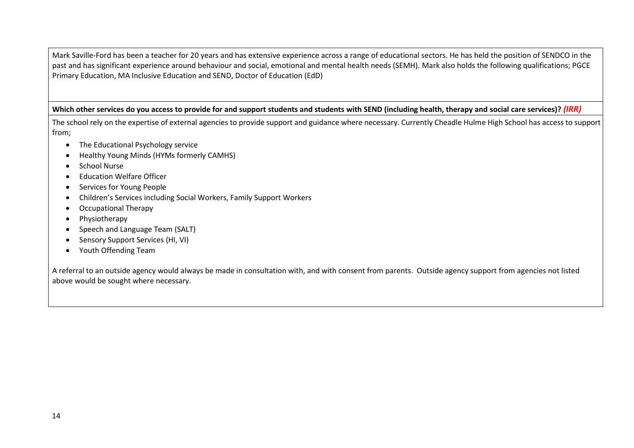Mark Saville-Ford has been a teacher for 20 years and has extensive experience across a range of educational sectors. He has held the position of SENDCO in the past and has significant experience around behaviour and social, emotional and mental health needs (SEMH). Mark also holds the following qualifications; PGCE Primary Education, MA Inclusive Education and SEND, Doctor of Education (EdD)

# Which other services do you access to provide for and support students and students with SEND (including health, therapy and social care services)? *(IRR)*

The school rely on the expertise of external agencies to provide support and guidance where necessary. Currently Cheadle Hulme High School has access to support from;

- The Educational Psychology service
- Healthy Young Minds (HYMs formerly CAMHS)
- School Nurse
- Education Welfare Officer
- Services for Young People
- Children's Services including Social Workers, Family Support Workers
- Occupational Therapy
- Physiotherapy
- Speech and Language Team (SALT)
- Sensory Support Services (HI, VI)
- Youth Offending Team

A referral to an outside agency would always be made in consultation with, and with consent from parents. Outside agency support from agencies not listed above would be sought where necessary.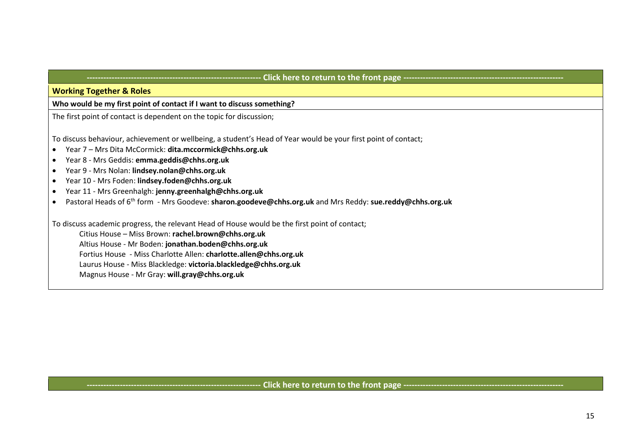# - Click here to return to the front page ---

**Working Together & Roles** 

# **Who would be my first point of contact if I want to discuss something?**

The first point of contact is dependent on the topic for discussion;

To discuss behaviour, achievement or wellbeing, a student's Head of Year would be your first point of contact;

- Year 7 Mrs Dita McCormick: **dita.mccormick@chhs.org.uk**
- Year 8 Mrs Geddis: **emma.geddis@chhs.org.uk**
- Year 9 Mrs Nolan: **lindsey.nolan@chhs.org.uk**
- Year 10 Mrs Foden: **lindsey.foden@chhs.org.uk**
- Year 11 Mrs Greenhalgh: **jenny.greenhalgh@chhs.org.uk**
- Pastoral Heads of 6th form Mrs Goodeve: **sharon.goodeve@chhs.org.uk** and Mrs Reddy: **sue.reddy@chhs.org.uk**

To discuss academic progress, the relevant Head of House would be the first point of contact;

Citius House – Miss Brown: **rachel.brown@chhs.org.uk**

Altius House - Mr Boden: **jonathan.boden@chhs.org.uk**

Fortius House - Miss Charlotte Allen: **charlotte.allen@chhs.org.uk**

Laurus House - Miss Blackledge: **victoria.blackledge@chhs.org.uk**

Magnus House - Mr Gray: **will.gray@chhs.org.uk**

# Click here to return to the front page ----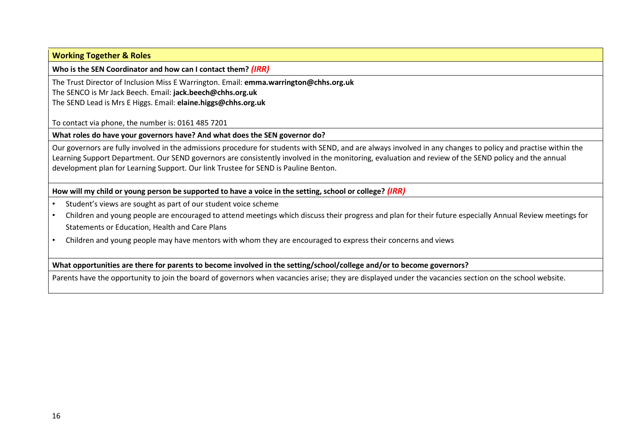# **Working Together & Roles**

**Who is the SEN Coordinator and how can I contact them?** *(IRR)*

The Trust Director of Inclusion Miss E Warrington. Email: **emma.warrington@chhs.org.uk** 

The SENCO is Mr Jack Beech. Email: **jack.beech@chhs.org.uk**

The SEND Lead is Mrs E Higgs. Email: **elaine.higgs@chhs.org.uk**

To contact via phone, the number is: 0161 485 7201

**What roles do have your governors have? And what does the SEN governor do?** 

Our governors are fully involved in the admissions procedure for students with SEND, and are always involved in any changes to policy and practise within the Learning Support Department. Our SEND governors are consistently involved in the monitoring, evaluation and review of the SEND policy and the annual development plan for Learning Support. Our link Trustee for SEND is Pauline Benton.

**How will my child or young person be supported to have a voice in the setting, school or college?** *(IRR)*

- Student's views are sought as part of our student voice scheme
- Children and young people are encouraged to attend meetings which discuss their progress and plan for their future especially Annual Review meetings for Statements or Education, Health and Care Plans
- Children and young people may have mentors with whom they are encouraged to express their concerns and views

**What opportunities are there for parents to become involved in the setting/school/college and/or to become governors?** 

Parents have the opportunity to join the board of governors when vacancies arise; they are displayed under the vacancies section on the school website.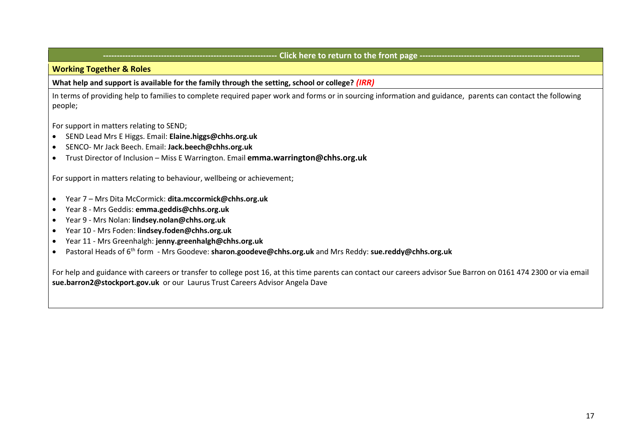# **Click here to return to the front page -------**

# **Working Together & Roles**

**What help and support is available for the family through the setting, school or college?** *(IRR)*

In terms of providing help to families to complete required paper work and forms or in sourcing information and guidance, parents can contact the following people;

For support in matters relating to SEND;

- SEND Lead Mrs E Higgs. Email: **Elaine.higgs@chhs.org.uk**
- SENCO- Mr Jack Beech. Email: **Jack.beech@chhs.org.uk**
- Trust Director of Inclusion Miss E Warrington. Email **emma.warrington@chhs.org.uk**

For support in matters relating to behaviour, wellbeing or achievement;

- Year 7 Mrs Dita McCormick: **dita.mccormick@chhs.org.uk**
- Year 8 Mrs Geddis: **emma.geddis@chhs.org.uk**
- Year 9 Mrs Nolan: **lindsey.nolan@chhs.org.uk**
- Year 10 Mrs Foden: **lindsey.foden@chhs.org.uk**
- Year 11 Mrs Greenhalgh: **jenny.greenhalgh@chhs.org.uk**
- Pastoral Heads of 6th form Mrs Goodeve: **sharon.goodeve@chhs.org.uk** and Mrs Reddy: **sue.reddy@chhs.org.uk**

For help and guidance with careers or transfer to college post 16, at this time parents can contact our careers advisor Sue Barron on 0161 474 2300 or via email **sue.barron2@stockport.gov.uk** or our Laurus Trust Careers Advisor Angela Dave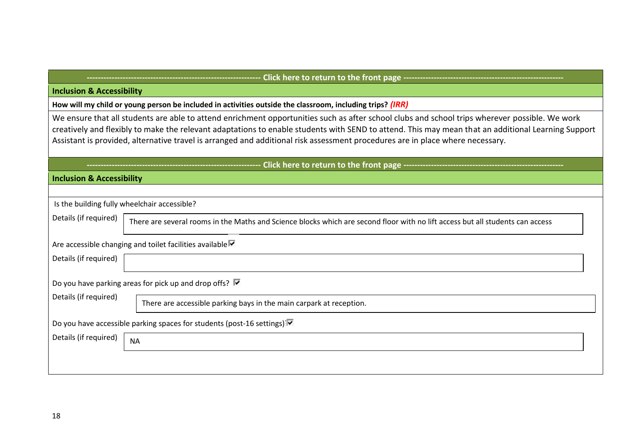|--|--|--|

# **Inclusion & Accessibility**

**How will my child or young person be included in activities outside the classroom, including trips?** *(IRR)*

We ensure that all students are able to attend enrichment opportunities such as after school clubs and school trips wherever possible. We work creatively and flexibly to make the relevant adaptations to enable students with SEND to attend. This may mean that an additional Learning Support Assistant is provided, alternative travel is arranged and additional risk assessment procedures are in place where necessary.

# **Click here to return to the front page ----**

# **Inclusion & Accessibility**

|                       | Is the building fully wheelchair accessible?                                                                                   |
|-----------------------|--------------------------------------------------------------------------------------------------------------------------------|
| Details (if required) | There are several rooms in the Maths and Science blocks which are second floor with no lift access but all students can access |
|                       | Are accessible changing and toilet facilities available                                                                        |
| Details (if required) |                                                                                                                                |
|                       | Do you have parking areas for pick up and drop offs? $\blacksquare$                                                            |
| Details (if required) | There are accessible parking bays in the main carpark at reception.                                                            |
|                       | Do you have accessible parking spaces for students (post-16 settings) <sup>[7]</sup>                                           |
| Details (if required) | <b>NA</b>                                                                                                                      |
|                       |                                                                                                                                |
|                       |                                                                                                                                |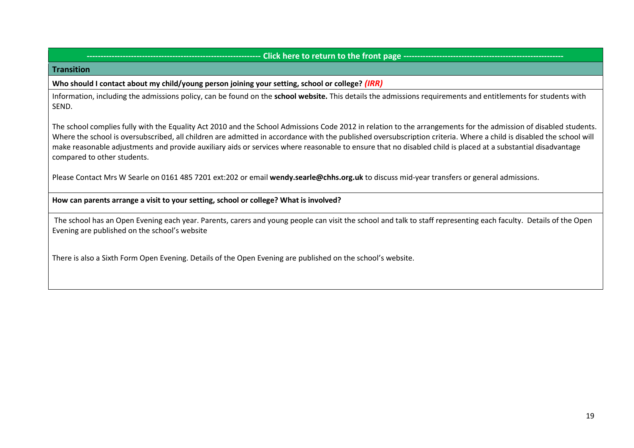# **Click here to return to the front page --**

#### **Transition**

#### **Who should I contact about my child/young person joining your setting, school or college?** *(IRR)*

Information, including the admissions policy, can be found on the **[school website.](https://www.chhs.org.uk/)** [T](https://www.chhs.org.uk/)his details the admissions requirements and entitlements for students with SEND.

The school complies fully with the Equality Act 2010 and the School Admissions Code 2012 in relation to the arrangements for the admission of disabled students. Where the school is oversubscribed, all children are admitted in accordance with the published oversubscription criteria. Where a child is disabled the school will make reasonable adjustments and provide auxiliary aids or services where reasonable to ensure that no disabled child is placed at a substantial disadvantage compared to other students.

Please Contact Mrs W Searle on 0161 485 7201 ext:202 or email **wendy.searle@chhs.org.uk** to discuss mid-year transfers or general admissions.

#### **How can parents arrange a visit to your setting, school or college? What is involved?**

The school has an Open Evening each year. Parents, carers and young people can visit the school and talk to staff representing each faculty. Details of the Open Evening are published on the school's website

There is also a Sixth Form Open Evening. Details of the Open Evening are published on the school's website.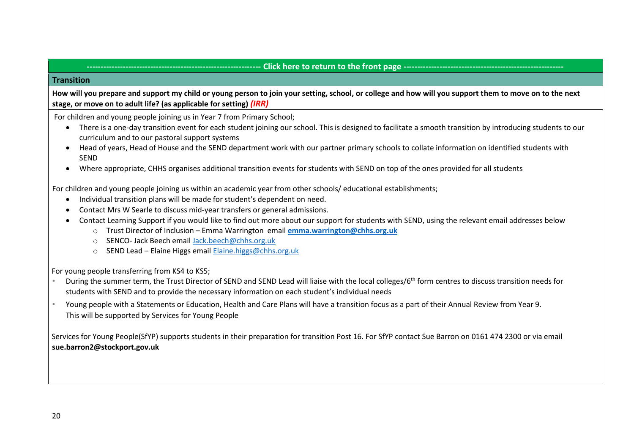# **Click here to return to the front page ----**

# **Transition**

**How will you prepare and support my child or young person to join your setting, school, or college and how will you support them to move on to the next stage, or move on to adult life? (as applicable for setting)** *(IRR)*

For children and young people joining us in Year 7 from Primary School;

- There is a one-day transition event for each student joining our school. This is designed to facilitate a smooth transition by introducing students to our curriculum and to our pastoral support systems
- Head of years, Head of House and the SEND department work with our partner primary schools to collate information on identified students with **SEND**
- Where appropriate, CHHS organises additional transition events for students with SEND on top of the ones provided for all students

For children and young people joining us within an academic year from other schools/ educational establishments;

- Individual transition plans will be made for student's dependent on need.
- Contact Mrs W Searle to discuss mid-year transfers or general admissions.
- Contact Learning Support if you would like to find out more about our support for students with SEND, using the relevant email addresses below
	- o Trust Director of Inclusion Emma Warrington email **[emma.warrington@chhs.org.uk](mailto:emma.warrington@chhs.org.uk)**
	- o SENCO- Jack Beech emai[l Jack.beech@chhs.org.uk](mailto:Jack.beech@chhs.org.uk)
	- o SEND Lead Elaine Higgs emai[l Elaine.higgs@chhs.org.uk](mailto:Elaine.higgs@chhs.org.uk)

For young people transferring from KS4 to KS5;

- During the summer term, the Trust Director of SEND and SEND Lead will liaise with the local colleges/6<sup>th</sup> form centres to discuss transition needs for students with SEND and to provide the necessary information on each student's individual needs
- Young people with a Statements or Education, Health and Care Plans will have a transition focus as a part of their Annual Review from Year 9. This will be supported by Services for Young People

Services for Young People(SfYP) supports students in their preparation for transition Post 16. For SfYP contact Sue Barron on 0161 474 2300 or via email **sue.barron2@stockport.gov.uk**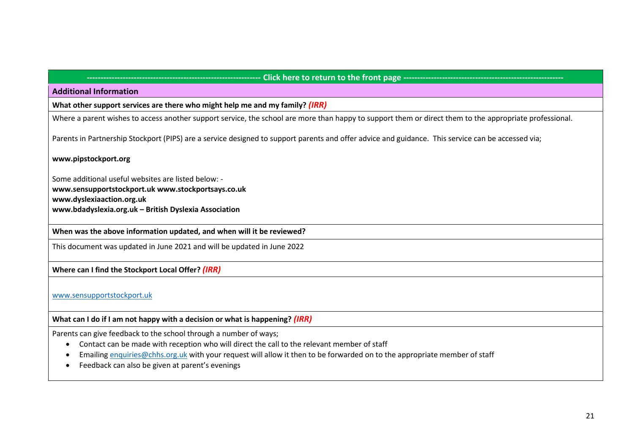# **--------------------------------------------------------------- Click here to return to the front page ----------------------------------------------------------**

#### **Additional Information**

**What other support services are there who might help me and my family?** *(IRR)*

Where a parent wishes to access another support service, the school are more than happy to support them or direct them to the appropriate professional.

Parents in Partnership Stockport (PIPS) are a service designed to support parents and offer advice and guidance. This service can be accessed via;

#### **[www.pipstockport.org](http://www.pipstockport.org/)**

Some additional useful websites are listed below: **[www.sensupportstockport.uk](http://www.cheshireeast.gov.uk/) [www.stockportsays.co.uk](http://www.stockportsays.co.uk/) [www.dyslexiaaction.org.uk](http://www.dyslexiaaction.org.uk/) [www.bdadyslexia.org.uk](http://www.bdadyslexia.org.uk/) [–](http://www.bdadyslexia.org.uk/) British Dyslexia Association**

**When was the above information updated, and when will it be reviewed?**

This document was updated in June 2021 and will be updated in June 2022

# **Where can I find the Stockport Local Offer?** *(IRR)*

[www.sensupportstockport.uk](http://www.sensupportstockport.uk/)

**What can I do if I am not happy with a decision or what is happening?** *(IRR)*

Parents can give feedback to the school through a number of ways;

- Contact can be made with reception who will direct the call to the relevant member of staff
- Emailing [enquiries@chhs.org.uk](mailto:enquiries@chhs.org.uk) with your request will allow it then to be forwarded on to the appropriate member of staff
- Feedback can also be given at parent's evenings